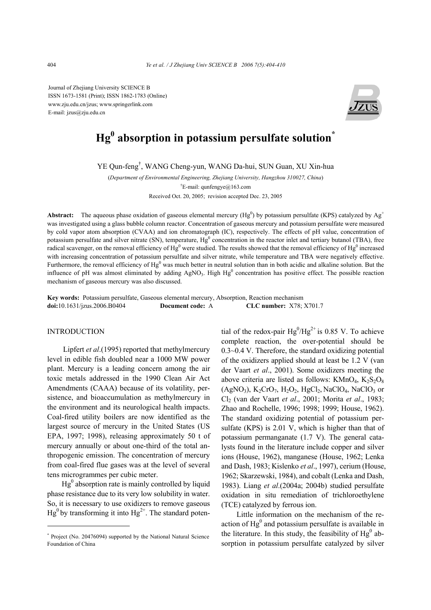Journal of Zhejiang University SCIENCE B ISSN 1673-1581 (Print); ISSN 1862-1783 (Online) www.zju.edu.cn/jzus; www.springerlink.com E-mail: jzus@zju.edu.cn



# **Hg<sup>0</sup> absorption in potassium persulfate solution\***

YE Qun-feng† , WANG Cheng-yun, WANG Da-hui, SUN Guan, XU Xin-hua

(*Department of Environmental Engineering, Zhejiang University, Hangzhou 310027, China*) † E-mail: qunfengye@163.com Received Oct. 20, 2005; revision accepted Dec. 23, 2005

**Abstract:** The aqueous phase oxidation of gaseous elemental mercury ( $Hg^0$ ) by potassium persulfate (KPS) catalyzed by  $Ag^+$ was investigated using a glass bubble column reactor. Concentration of gaseous mercury and potassium persulfate were measured by cold vapor atom absorption (CVAA) and ion chromatograph (IC), respectively. The effects of pH value, concentration of potassium persulfate and silver nitrate (SN), temperature,  $Hg^0$  concentration in the reactor inlet and tertiary butanol (TBA), free radical scavenger, on the removal efficiency of  $Hg^0$  were studied. The results showed that the removal efficiency of  $Hg^0$  increased with increasing concentration of potassium persulfate and silver nitrate, while temperature and TBA were negatively effective. Furthermore, the removal efficiency of  $Hg^0$  was much better in neutral solution than in both acidic and alkaline solution. But the influence of pH was almost eliminated by adding  $AgNO<sub>3</sub>$ . High  $Hg<sup>0</sup>$  concentration has positive effect. The possible reaction mechanism of gaseous mercury was also discussed.

**Key words:** Potassium persulfate, Gaseous elemental mercury, Absorption, Reaction mechanism **doi:**10.1631/jzus.2006.B0404 **Document code:** A **CLC number:** X78; X701.7

# INTRODUCTION

Lipfert *et al*.(1995) reported that methylmercury level in edible fish doubled near a 1000 MW power plant. Mercury is a leading concern among the air toxic metals addressed in the 1990 Clean Air Act Amendments (CAAA) because of its volatility, persistence, and bioaccumulation as methylmercury in the environment and its neurological health impacts. Coal-fired utility boilers are now identified as the largest source of mercury in the United States (US EPA, 1997; 1998), releasing approximately 50 t of mercury annually or about one-third of the total anthropogenic emission. The concentration of mercury from coal-fired flue gases was at the level of several tens microgrammes per cubic meter.

 $Hg<sup>0</sup>$  absorption rate is mainly controlled by liquid phase resistance due to its very low solubility in water. So, it is necessary to use oxidizers to remove gaseous  $Hg^0$  by transforming it into  $Hg^{2+}$ . The standard poten-

tial of the redox-pair  $Hg^{0}/Hg^{2+}$  is 0.85 V. To achieve complete reaction, the over-potential should be 0.3~0.4 V. Therefore, the standard oxidizing potential of the oxidizers applied should at least be 1.2 V (van der Vaart *et al*., 2001). Some oxidizers meeting the above criteria are listed as follows:  $KMnO<sub>4</sub>, K<sub>2</sub>S<sub>2</sub>O<sub>8</sub>$  $(AgNO<sub>3</sub>), K<sub>2</sub>CrO<sub>7</sub>, H<sub>2</sub>O<sub>2</sub>, H<sub>2</sub>Cl<sub>2</sub>, NaClO<sub>4</sub>, NaClO<sub>3</sub> or$ Cl2 (van der Vaart *et al*., 2001; Morita *et al*., 1983; Zhao and Rochelle, 1996; 1998; 1999; House, 1962). The standard oxidizing potential of potassium persulfate (KPS) is 2.01 V, which is higher than that of potassium permanganate (1.7 V). The general catalysts found in the literature include copper and silver ions (House, 1962), manganese (House, 1962; Lenka and Dash, 1983; Kislenko *et al*., 1997), cerium (House, 1962; Skarzewski, 1984), and cobalt (Lenka and Dash, 1983). Liang *et al*.(2004a; 2004b) studied persulfate oxidation in situ remediation of trichloroethylene (TCE) catalyzed by ferrous ion.

Little information on the mechanism of the reaction of  $Hg^0$  and potassium persulfate is available in the literature. In this study, the feasibility of  $Hg^0$  absorption in potassium persulfate catalyzed by silver

<sup>\*</sup> Project (No. 20476094) supported by the National Natural Science Foundation of China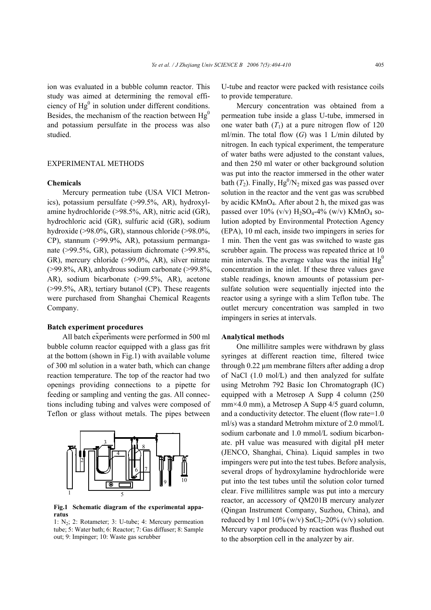ion was evaluated in a bubble column reactor. This study was aimed at determining the removal efficiency of  $Hg^0$  in solution under different conditions. Besides, the mechanism of the reaction between  $Hg<sup>0</sup>$ and potassium persulfate in the process was also studied.

# EXPERIMENTAL METHODS

#### **Chemicals**

Mercury permeation tube (USA VICI Metronics), potassium persulfate (>99.5%, AR), hydroxylamine hydrochloride (>98.5%, AR), nitric acid (GR), hydrochloric acid (GR), sulfuric acid (GR), sodium hydroxide (>98.0%, GR), stannous chloride (>98.0%, CP), stannum (>99.9%, AR), potassium permanganate (>99.5%, GR), potassium dichromate (>99.8%, GR), mercury chloride (>99.0%, AR), silver nitrate (>99.8%, AR), anhydrous sodium carbonate (>99.8%, AR), sodium bicarbonate (>99.5%, AR), acetone (>99.5%, AR), tertiary butanol (CP). These reagents were purchased from Shanghai Chemical Reagents Company.

#### **Batch experiment procedures**

All batch experiments were performed in 500 ml bubble column reactor equipped with a glass gas frit at the bottom (shown in Fig.1) with available volume of 300 ml solution in a water bath, which can change reaction temperature. The top of the reactor had two openings providing connections to a pipette for feeding or sampling and venting the gas. All connections including tubing and valves were composed of Teflon or glass without metals. The pipes between



**Fig.1 Schematic diagram of the experimental apparatus** 

1: N2; 2: Rotameter; 3: U-tube; 4: Mercury permeation tube; 5: Water bath; 6: Reactor; 7: Gas diffuser; 8: Sample out; 9: Impinger; 10: Waste gas scrubber

U-tube and reactor were packed with resistance coils to provide temperature.

Mercury concentration was obtained from a permeation tube inside a glass U-tube, immersed in one water bath  $(T_1)$  at a pure nitrogen flow of 120 ml/min. The total flow  $(G)$  was 1 L/min diluted by nitrogen. In each typical experiment, the temperature of water baths were adjusted to the constant values, and then 250 ml water or other background solution was put into the reactor immersed in the other water bath  $(T_2)$ . Finally,  $Hg^0/N_2$  mixed gas was passed over solution in the reactor and the vent gas was scrubbed by acidic KMnO4. After about 2 h, the mixed gas was passed over  $10\%$  (v/v) H<sub>2</sub>SO<sub>4</sub>-4% (w/v) KMnO<sub>4</sub> solution adopted by Environmental Protection Agency (EPA), 10 ml each, inside two impingers in series for 1 min. Then the vent gas was switched to waste gas scrubber again. The process was repeated thrice at 10 min intervals. The average value was the initial  $Hg<sup>0</sup>$ concentration in the inlet. If these three values gave stable readings, known amounts of potassium persulfate solution were sequentially injected into the reactor using a syringe with a slim Teflon tube. The outlet mercury concentration was sampled in two impingers in series at intervals.

#### **Analytical methods**

One millilitre samples were withdrawn by glass syringes at different reaction time, filtered twice through 0.22 µm membrane filters after adding a drop of NaCl (1.0 mol/L) and then analyzed for sulfate using Metrohm 792 Basic Ion Chromatograph (IC) equipped with a Metrosep A Supp 4 column (250 mm×4.0 mm), a Metrosep A Supp 4/5 guard column, and a conductivity detector. The eluent (flow rate=1.0 ml/s) was a standard Metrohm mixture of 2.0 mmol/L sodium carbonate and 1.0 mmol/L sodium bicarbonate. pH value was measured with digital pH meter (JENCO, Shanghai, China). Liquid samples in two impingers were put into the test tubes. Before analysis, several drops of hydroxylamine hydrochloride were put into the test tubes until the solution color turned clear. Five millilitres sample was put into a mercury reactor, an accessory of QM201B mercury analyzer (Qingan Instrument Company, Suzhou, China), and reduced by 1 ml  $10\%$  (w/v) SnCl<sub>2</sub>-20% (v/v) solution. Mercury vapor produced by reaction was flushed out to the absorption cell in the analyzer by air.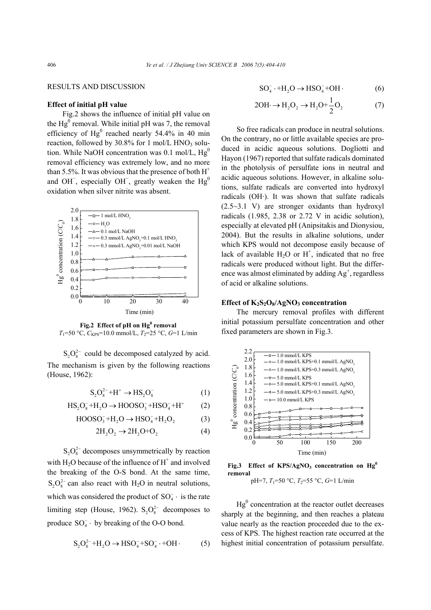# RESULTS AND DISCUSSION

### **Effect of initial pH value**

Fig.2 shows the influence of initial pH value on the  $Hg^0$  removal. While initial pH was 7, the removal efficiency of  $Hg^0$  reached nearly 54.4% in 40 min reaction, followed by  $30.8\%$  for 1 mol/L HNO<sub>3</sub> solution. While NaOH concentration was  $0.1 \text{ mol/L}$ , Hg<sup>0</sup> removal efficiency was extremely low, and no more than 5.5%. It was obvious that the presence of both  $H^+$ and OH  $\overline{\phantom{a}}$ , especially OH $\overline{\phantom{a}}$ , greatly weaken the Hg<sup>0</sup> oxidation when silver nitrite was absent.



Fig.2 Effect of pH on Hg<sup>0</sup> removal *T*<sub>1</sub>=50 °C,  $C_{KPS}$ =10.0 mmol/L, *T*<sub>2</sub>=25 °C, *G*=1 L/min

 $S_2O_8^{2-}$  could be decomposed catalyzed by acid. The mechanism is given by the following reactions (House, 1962):

$$
S_2O_8^{2-} + H^+ \to HS_2O_8^-
$$
 (1)

$$
HS_2O_8^- + H_2O \rightarrow HOOSO_3^- + HSO_4^- + H^+ \tag{2}
$$

$$
HOOSO_3^- + H_2O \rightarrow HSO_4^- + H_2O_2 \tag{3}
$$

$$
2H_2O_2 \rightarrow 2H_2O + O_2 \tag{4}
$$

 $S_2O_8^{2-}$  decomposes unsymmetrically by reaction with  $H_2O$  because of the influence of  $H^+$  and involved the breaking of the O-S bond. At the same time,  $S_2 O_8^{2-}$  can also react with H<sub>2</sub>O in neutral solutions, which was considered the product of  $SO_4^-$  · is the rate limiting step (House, 1962).  $S_2O_8^{2-}$  decomposes to produce  $SO_4^-$  · by breaking of the O-O bond.

$$
S_2O_8^{2-} + H_2O \rightarrow HSO_4^- + SO_4^- \cdot + OH \cdot (5)
$$

$$
SO_4^- \cdot + H_2O \to HSO_4^- + OH \cdot \tag{6}
$$

$$
2OH \rightarrow H_2O_2 \rightarrow H_2O + \frac{1}{2}O_2 \tag{7}
$$

So free radicals can produce in neutral solutions. On the contrary, no or little available species are produced in acidic aqueous solutions. Dogliotti and Hayon (1967) reported that sulfate radicals dominated in the photolysis of persulfate ions in neutral and acidic aqueous solutions. However, in alkaline solutions, sulfate radicals are converted into hydroxyl radicals (OH·). It was shown that sulfate radicals (2.5~3.1 V) are stronger oxidants than hydroxyl radicals (1.985, 2.38 or 2.72 V in acidic solution), especially at elevated pH (Anipsitakis and Dionysiou, 2004). But the results in alkaline solutions, under which KPS would not decompose easily because of lack of available  $H_2O$  or  $H^+$ , indicated that no free radicals were produced without light. But the difference was almost eliminated by adding  $Ag^+$ , regardless of acid or alkaline solutions.

## **Effect of K<sub>2</sub>S<sub>2</sub>O<sub>8</sub>/AgNO<sub>3</sub> concentration**

The mercury removal profiles with different initial potassium persulfate concentration and other fixed parameters are shown in Fig.3.



Fig.3 Effect of KPS/AgNO<sub>3</sub> concentration on Hg<sup>0</sup> **removal**  pH=7,  $T_1$ =50 °C,  $T_2$ =55 °C,  $G=1$  L/min

 $Hg<sup>0</sup>$  concentration at the reactor outlet decreases sharply at the beginning, and then reaches a plateau value nearly as the reaction proceeded due to the excess of KPS. The highest reaction rate occurred at the highest initial concentration of potassium persulfate.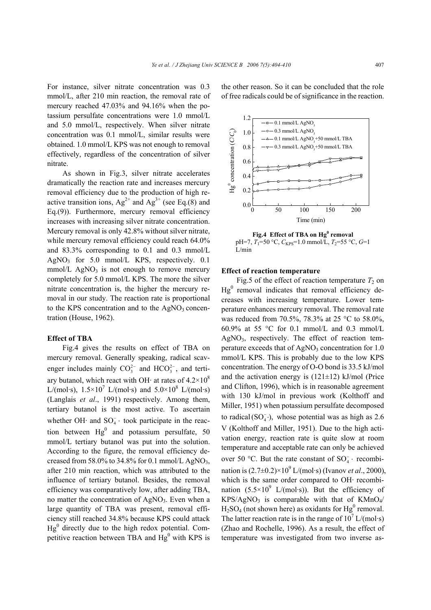For instance, silver nitrate concentration was 0.3 mmol/L, after 210 min reaction, the removal rate of mercury reached 47.03% and 94.16% when the potassium persulfate concentrations were 1.0 mmol/L and 5.0 mmol/L, respectively. When silver nitrate concentration was 0.1 mmol/L, similar results were obtained. 1.0 mmol/L KPS was not enough to removal effectively, regardless of the concentration of silver nitrate.

As shown in Fig.3, silver nitrate accelerates dramatically the reaction rate and increases mercury removal efficiency due to the production of high reactive transition ions,  $Ag^{2+}$  and  $Ag^{3+}$  (see Eq.(8) and Eq.(9)). Furthermore, mercury removal efficiency increases with increasing silver nitrate concentration. Mercury removal is only 42.8% without silver nitrate, while mercury removal efficiency could reach 64.0% and 83.3% corresponding to 0.1 and 0.3 mmol/L  $AgNO_3$  for 5.0 mmol/L KPS, respectively. 0.1  $mmol/L$  AgNO<sub>3</sub> is not enough to remove mercury completely for 5.0 mmol/L KPS. The more the silver nitrate concentration is, the higher the mercury removal in our study. The reaction rate is proportional to the KPS concentration and to the  $AgNO<sub>3</sub>$  concentration (House, 1962).

# **Effect of TBA**

Fig.4 gives the results on effect of TBA on mercury removal. Generally speaking, radical scavenger includes mainly  $CO_3^{2-}$  and  $HCO_3^{2-}$ , and tertiary butanol, which react with OH $\cdot$  at rates of 4.2×10<sup>8</sup> L/(mol·s),  $1.5 \times 10^7$  L/(mol·s) and  $5.0 \times 10^8$  L/(mol·s) (Langlais *et al*., 1991) respectively. Among them, tertiary butanol is the most active. To ascertain whether OH $\cdot$  and SO<sub>4</sub> $\cdot$  took participate in the reaction between  $Hg^0$  and potassium persulfate, 50 mmol/L tertiary butanol was put into the solution. According to the figure, the removal efficiency decreased from 58.0% to 34.8% for 0.1 mmol/L AgNO<sub>3</sub>, after 210 min reaction, which was attributed to the influence of tertiary butanol. Besides, the removal efficiency was comparatively low, after adding TBA, no matter the concentration of  $AgNO<sub>3</sub>$ . Even when a large quantity of TBA was present, removal efficiency still reached 34.8% because KPS could attack  $Hg<sup>0</sup>$  directly due to the high redox potential. Competitive reaction between TBA and  $Hg^0$  with KPS is the other reason. So it can be concluded that the role of free radicals could be of significance in the reaction.



Fig.4 Effect of TBA on Hg<sup>0</sup> removal  $pH=7$ ,  $T_1=50$  °C,  $C_{KPS}=1.0$  mmol/L,  $T_2=55$  °C,  $G=1$ L/min

#### **Effect of reaction temperature**

Fig.5 of the effect of reaction temperature  $T_2$  on  $Hg<sup>0</sup>$  removal indicates that removal efficiency decreases with increasing temperature. Lower temperature enhances mercury removal. The removal rate was reduced from 70.5%, 78.3% at 25 °C to 58.0%, 60.9% at 55 °C for 0.1 mmol/L and 0.3 mmol/L  $AgNO<sub>3</sub>$ , respectively. The effect of reaction temperature exceeds that of  $AgNO<sub>3</sub>$  concentration for 1.0 mmol/L KPS. This is probably due to the low KPS concentration. The energy of O-O bond is 33.5 kJ/mol and the activation energy is  $(121 \pm 12)$  kJ/mol (Price and Clifton, 1996), which is in reasonable agreement with 130 kJ/mol in previous work (Kolthoff and Miller, 1951) when potassium persulfate decomposed to radical  $(SO_4^-)$ , whose potential was as high as 2.6 V (Kolthoff and Miller, 1951). Due to the high activation energy, reaction rate is quite slow at room temperature and acceptable rate can only be achieved over 50 °C. But the rate constant of  $SO_4^-$  · recombination is  $(2.7 \pm 0.2) \times 10^9$  L/(mol·s) (Ivanov *et al.*, 2000), which is the same order compared to OH· recombination  $(5.5 \times 10^9)$  L/(mol·s)). But the efficiency of  $KPS/AgNO<sub>3</sub>$  is comparable with that of  $KMnO<sub>4</sub>/$  $H<sub>2</sub>SO<sub>4</sub>$  (not shown here) as oxidants for  $Hg<sup>0</sup>$  removal. The latter reaction rate is in the range of  $10^7$  L/(mol·s) (Zhao and Rochelle, 1996). As a result, the effect of temperature was investigated from two inverse as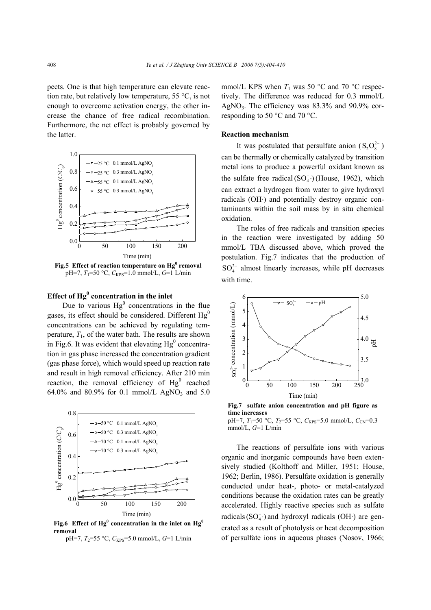pects. One is that high temperature can elevate reaction rate, but relatively low temperature, 55 °C, is not enough to overcome activation energy, the other increase the chance of free radical recombination. Furthermore, the net effect is probably governed by the latter.



Fig.5 Effect of reaction temperature on **Hg<sup>0</sup> removal** pH=7, *T*1=50 °C, *C*KPS=1.0 mmol/L, *G*=1 L/min

# **Effect of Hg<sup>0</sup> concentration in the inlet**

Due to various  $Hg^0$  concentrations in the flue gases, its effect should be considered. Different  $Hg<sup>0</sup>$ concentrations can be achieved by regulating temperature,  $T_1$ , of the water bath. The results are shown in Fig.6. It was evident that elevating  $Hg^0$  concentration in gas phase increased the concentration gradient (gas phase force), which would speed up reaction rate and result in high removal efficiency. After 210 min reaction, the removal efficiency of  $Hg^0$  reached 64.0% and 80.9% for 0.1 mmol/L AgNO<sub>3</sub> and 5.0



Fig.6 Effect of  $Hg^0$  concentration in the inlet on  $Hg^0$ **removal**

pH=7,  $T_2$ =55 °C,  $C_{KPS}$ =5.0 mmol/L, *G*=1 L/min

mmol/L KPS when  $T_1$  was 50 °C and 70 °C respectively. The difference was reduced for 0.3 mmol/L AgNO<sub>3</sub>. The efficiency was  $83.3\%$  and  $90.9\%$  corresponding to 50 °C and 70 °C.

#### **Reaction mechanism**

It was postulated that persulfate anion  $(S_2O_8^{2-})$ can be thermally or chemically catalyzed by transition metal ions to produce a powerful oxidant known as the sulfate free radical  $(SO<sub>4</sub><sup>-</sup>)$  (House, 1962), which can extract a hydrogen from water to give hydroxyl radicals (OH·) and potentially destroy organic contaminants within the soil mass by in situ chemical oxidation.

The roles of free radicals and transition species in the reaction were investigated by adding 50 mmol/L TBA discussed above, which proved the postulation. Fig.7 indicates that the production of  $SO_4^{2-}$  almost linearly increases, while pH decreases with time.



**Fig.7 sulfate anion concentration and pH figure as time increases**  pH=7,  $T_1$ =50 °C,  $T_2$ =55 °C,  $C_{KPS}$ =5.0 mmol/L,  $C_{CN}$ =0.3

The reactions of persulfate ions with various organic and inorganic compounds have been extensively studied (Kolthoff and Miller, 1951; House, 1962; Berlin, 1986). Persulfate oxidation is generally conducted under heat-, photo- or metal-catalyzed conditions because the oxidation rates can be greatly accelerated. Highly reactive species such as sulfate radicals  $(SO_4^-)$  and hydroxyl radicals  $(OH<sub>1</sub>)$  are generated as a result of photolysis or heat decomposition of persulfate ions in aqueous phases (Nosov, 1966;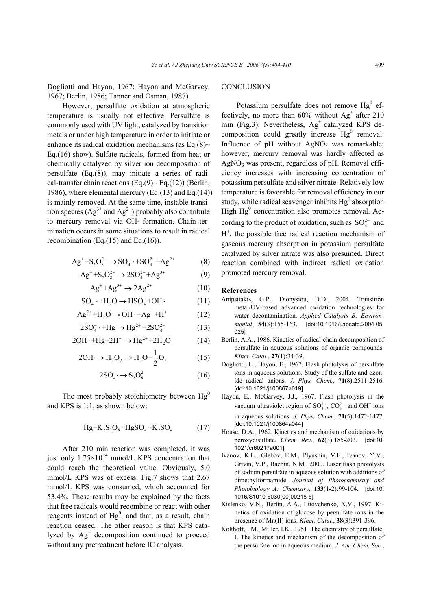Dogliotti and Hayon, 1967; Hayon and McGarvey, 1967; Berlin, 1986; Tanner and Osman, 1987).

However, persulfate oxidation at atmospheric temperature is usually not effective. Persulfate is commonly used with UV light, catalyzed by transition metals or under high temperature in order to initiate or enhance its radical oxidation mechanisms (as Eq.(8) $\sim$ Eq.(16) show). Sulfate radicals, formed from heat or chemically catalyzed by silver ion decomposition of persulfate (Eq.(8)), may initiate a series of radical-transfer chain reactions (Eq.(9) $\sim$  Eq.(12)) (Berlin, 1986), where elemental mercury (Eq.(13) and Eq.(14)) is mainly removed. At the same time, instable transition species  $(Ag^{3+}$  and  $Ag^{2+}$ ) probably also contribute to mercury removal via OH· formation. Chain termination occurs in some situations to result in radical recombination (Eq. $(15)$  and Eq. $(16)$ ).

$$
Ag^{+}+S_{2}O_{8}^{2-} \rightarrow SO_{4}^{-}+SO_{4}^{2-}+Ag^{2+}
$$
 (8)

$$
Ag^{+}+S_{2}O_{8}^{2-} \rightarrow 2SO_{4}^{2-}+Ag^{3+} \tag{9}
$$

$$
Ag^+ + Ag^{3+} \rightarrow 2Ag^{2+} \tag{10}
$$

$$
SO_4^- \cdot + H_2O \to HSO_4^- + OH \cdot (11)
$$

$$
Ag^{2+} + H_2O \rightarrow OH \cdot + Ag^+ + H^+ \tag{12}
$$

$$
2SO_4^- \cdot + Hg \to Hg^{2+} + 2SO_4^{2-} \tag{13}
$$

$$
2OH \cdot + Hg + 2H^+ \rightarrow Hg^{2+} + 2H_2O \tag{14}
$$

$$
2OH \rightarrow H_2O_2 \rightarrow H_2O + \frac{1}{2}O_2 \tag{15}
$$

$$
2SO_4^- \to S_2O_8^{2-} \tag{16}
$$

The most probably stoichiometry between  $Hg<sup>0</sup>$ and KPS is 1:1, as shown below:

$$
Hg+K_2S_2O_8 = HgSO_4 + K_2SO_4 \tag{17}
$$

After 210 min reaction was completed, it was just only  $1.75 \times 10^{-4}$  mmol/L KPS concentration that could reach the theoretical value. Obviously, 5.0 mmol/L KPS was of excess. Fig.7 shows that 2.67 mmol/L KPS was consumed, which accounted for 53.4%. These results may be explained by the facts that free radicals would recombine or react with other reagents instead of  $Hg^0$ , and that, as a result, chain reaction ceased. The other reason is that KPS catalyzed by  $Ag<sup>+</sup>$  decomposition continued to proceed without any pretreatment before IC analysis.

# **CONCLUSION**

Potassium persulfate does not remove  $Hg^0$  effectively, no more than  $60\%$  without  $Ag<sup>+</sup>$  after 210 min (Fig.3). Nevertheless,  $Ag<sup>+</sup>$  catalyzed KPS decomposition could greatly increase  $Hg^0$  removal. Influence of  $pH$  without  $AgNO<sub>3</sub>$  was remarkable; however, mercury removal was hardly affected as  $AgNO<sub>3</sub>$  was present, regardless of pH. Removal efficiency increases with increasing concentration of potassium persulfate and silver nitrate. Relatively low temperature is favorable for removal efficiency in our study, while radical scavenger inhibits  $Hg^0$  absorption. High  $Hg^0$  concentration also promotes removal. According to the product of oxidation, such as  $SO_4^{2-}$  and  $H^+$ , the possible free radical reaction mechanism of gaseous mercury absorption in potassium persulfate catalyzed by silver nitrate was also presumed. Direct reaction combined with indirect radical oxidation promoted mercury removal.

#### **References**

- Anipsitakis, G.P., Dionysiou, D.D., 2004. Transition metal/UV-based advanced oxidation technologies for water decontamination. *Applied Catalysis B: Environmental*, **54**(3):155-163. [doi:10.1016/j.apcatb.2004.05. 025]
- Berlin, A.A., 1986. Kinetics of radical-chain decomposition of persulfate in aqueous solutions of organic compounds. *Kinet. Catal.*, **27**(1):34-39.
- Dogliotti, L., Hayon, E., 1967. Flash photolysis of persulfate ions in aqueous solutions. Study of the sulfate and ozonide radical anions. *J. Phys. Chem.*, **71**(8):2511-2516. [doi:10.1021/j100867a019]
- Hayon, E., McGarvey, J.J., 1967. Flash photolysis in the vacuum ultraviolet region of  $SO_4^{2-}$ ,  $CO_3^{2-}$  and OH<sup>-</sup> ions in aqueous solutions. *J. Phys. Chem.*, **71**(5):1472-1477. [doi:10.1021/j100864a044]
- House, D.A., 1962. Kinetics and mechanism of oxidations by peroxydisulfate. *Chem. Rev*., **62**(3):185-203. [doi:10. 1021/cr60217a001]
- Ivanov, K.L., Glebov, E.M., Plyusnin, V.F., Ivanov, Y.V., Grivin, V.P., Bazhin, N.M., 2000. Laser flash photolysis of sodium persulfate in aqueous solution with additions of dimethylformamide. *Journal of Photochemistry and Photobiology A: Chemistry*, **133**(1-2):99-104. [doi:10. 1016/S1010-6030(00)00218-5]
- Kislenko, V.N., Berlin, A.A., Litovchenko, N.V., 1997. Kinetics of oxidation of glucose by persulfate ions in the presence of Mn(II) ions. *Kinet. Catal.*, **38**(3):391-396.
- Kolthoff, I.M., Miller, I.K., 1951. The chemistry of persulfate: I. The kinetics and mechanism of the decomposition of the persulfate ion in aqueous medium. *J. Am. Chem. Soc.*,